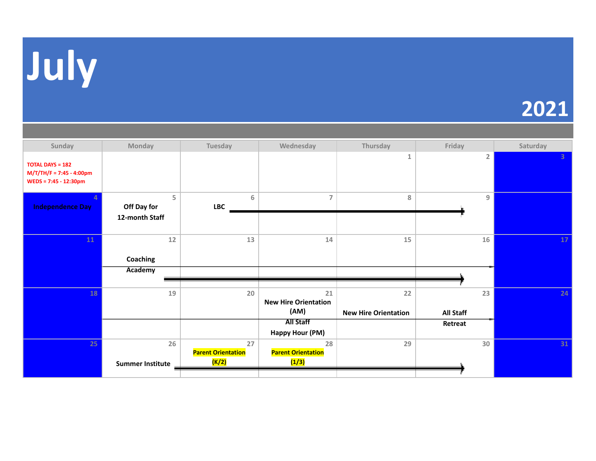

| Sunday                                                                         | Monday                             | Tuesday                                  | Wednesday                                 | Thursday                          | Friday          | Saturday        |
|--------------------------------------------------------------------------------|------------------------------------|------------------------------------------|-------------------------------------------|-----------------------------------|-----------------|-----------------|
| <b>TOTAL DAYS = 182</b><br>$M/T/TH/F = 7:45 - 4:00pm$<br>WEDS = 7:45 - 12:30pm |                                    |                                          |                                           | $\mathbf{1}$                      | $\overline{2}$  | 3 <sup>1</sup>  |
| <b>Independence Day</b>                                                        | 5<br>Off Day for<br>12-month Staff | 6<br><b>LBC</b>                          | $\overline{7}$                            | 8                                 | 9               |                 |
| 11                                                                             | 12<br>Coaching<br>Academy          | 13                                       | 14                                        | 15                                | 16              | 17 <sup>2</sup> |
|                                                                                |                                    |                                          |                                           |                                   |                 |                 |
| 18                                                                             | 19                                 | 20                                       | 21<br><b>New Hire Orientation</b><br>(AM) | 22<br><b>New Hire Orientation</b> | 23<br>All Staff | 24              |
|                                                                                |                                    |                                          | <b>All Staff</b><br>Happy Hour (PM)       |                                   | Retreat         |                 |
| 25                                                                             | 26<br><b>Summer Institute</b>      | 27<br><b>Parent Orientation</b><br>(K/2) | 28<br><b>Parent Orientation</b><br>(1/3)  | 29                                | 30              | 31              |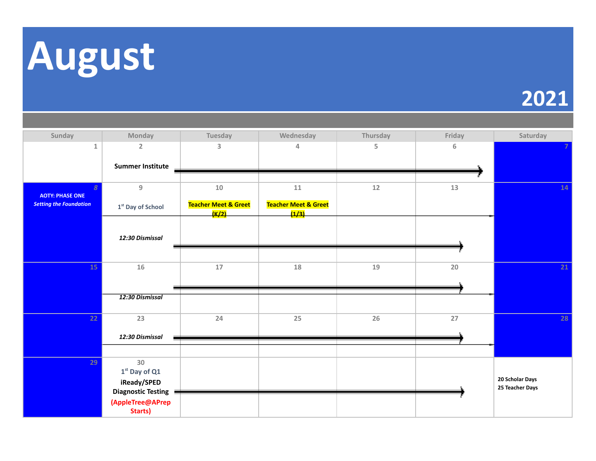

| Sunday                                   | Monday                      | Tuesday                                               | Wednesday                                | Thursday | Friday | Saturday                           |
|------------------------------------------|-----------------------------|-------------------------------------------------------|------------------------------------------|----------|--------|------------------------------------|
| $\mathbf 1$                              | $\overline{2}$              | 3                                                     | 4                                        | 5        | 6      |                                    |
|                                          | <b>Summer Institute</b>     |                                                       |                                          |          |        |                                    |
|                                          |                             |                                                       |                                          |          |        |                                    |
| $\overline{8}$<br><b>AOTY: PHASE ONE</b> | $\boldsymbol{9}$            | $10\,$                                                | $11\,$                                   | $12\,$   | 13     | 14                                 |
| <b>Setting the Foundation</b>            | 1st Day of School           | <b>Teacher Meet &amp; Greet</b><br><mark>(K/2)</mark> | <b>Teacher Meet &amp; Greet</b><br>(1/3) |          |        |                                    |
|                                          |                             |                                                       |                                          |          |        |                                    |
|                                          | 12:30 Dismissal             |                                                       |                                          |          |        |                                    |
|                                          |                             |                                                       |                                          |          |        |                                    |
| 15                                       | 16                          | 17                                                    | 18                                       | 19       | 20     | 21                                 |
|                                          |                             |                                                       |                                          |          |        |                                    |
|                                          | 12:30 Dismissal             |                                                       |                                          |          |        |                                    |
|                                          |                             |                                                       |                                          |          |        |                                    |
| 22                                       | 23                          | 24                                                    | 25                                       | 26       | 27     | 28                                 |
|                                          | 12:30 Dismissal             |                                                       |                                          |          |        |                                    |
|                                          |                             |                                                       |                                          |          |        |                                    |
| 29                                       | 30<br>$1st$ Day of Q1       |                                                       |                                          |          |        |                                    |
|                                          | iReady/SPED                 |                                                       |                                          |          |        | 20 Scholar Days<br>25 Teacher Days |
|                                          | <b>Diagnostic Testing</b>   |                                                       |                                          |          |        |                                    |
|                                          | (AppleTree@APrep<br>Starts) |                                                       |                                          |          |        |                                    |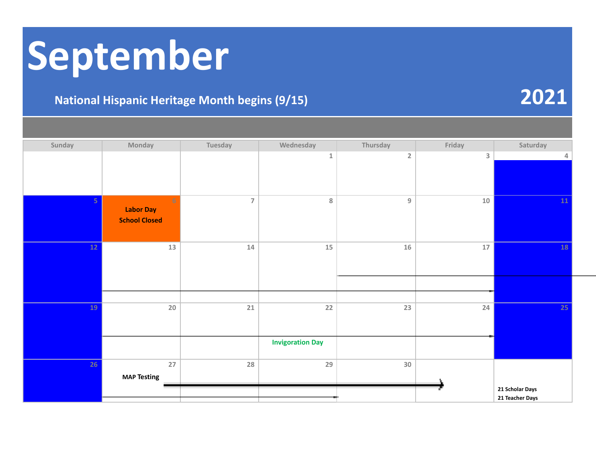# **September**

### **National Hispanic Heritage Month begins (9/15) 2021**

**Sunday Monday Tuesday Wednesday Thursday Friday Saturday 1 2 3 4 5 6 7 8 9 10 11 Labor Day School Closed 12 13 14 15 16 17 18 19 20 21 22 23 24 25 Invigoration Day 26 27 28 29 30 MAP Testing**

**21 Scholar Days 21 Teacher Days**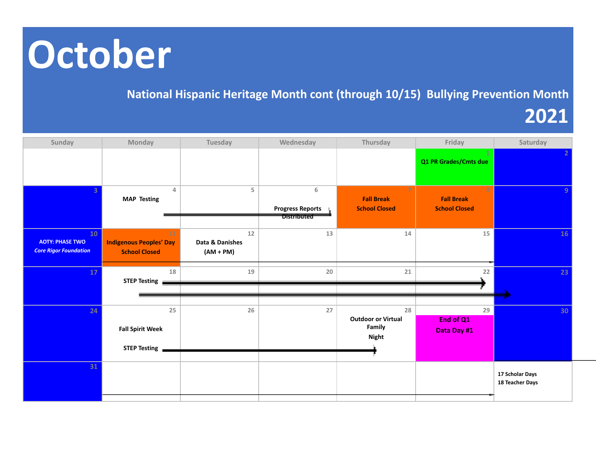# **October**

#### **National Hispanic Heritage Month cont (through 10/15) Bullying Prevention Month**

**2021**

| Sunday                                                       | Monday                                                           | Tuesday                                | Wednesday                                          | Thursday                                                  | Friday                                         | Saturday                           |
|--------------------------------------------------------------|------------------------------------------------------------------|----------------------------------------|----------------------------------------------------|-----------------------------------------------------------|------------------------------------------------|------------------------------------|
|                                                              |                                                                  |                                        |                                                    |                                                           | Q1 PR Grades/Cmts due                          |                                    |
|                                                              | $\overline{4}$<br><b>MAP Testing</b>                             | 5                                      | 6<br><b>Progress Reports</b><br><b>Distributed</b> | 7<br><b>Fall Break</b><br><b>School Closed</b>            | 8<br><b>Fall Break</b><br><b>School Closed</b> |                                    |
| 10<br><b>AOTY: PHASE TWO</b><br><b>Core Rigor Foundation</b> | $11\,$<br><b>Indigenous Peoples' Day</b><br><b>School Closed</b> | $12$<br>Data & Danishes<br>$(AM + PM)$ | 13                                                 | $14\,$                                                    | 15 <sub>1</sub>                                | 16                                 |
| 17                                                           | 18<br><b>STEP Testing</b>                                        | 19                                     | 20                                                 | 21                                                        | 22                                             | 23                                 |
| 24                                                           | 25<br><b>Fall Spirit Week</b><br><b>STEP Testing</b>             | 26                                     | 27                                                 | 28<br><b>Outdoor or Virtual</b><br>Family<br><b>Night</b> | 29<br>End of Q1<br>Data Day #1                 | 30                                 |
| 31                                                           |                                                                  |                                        |                                                    |                                                           |                                                | 17 Scholar Days<br>18 Teacher Days |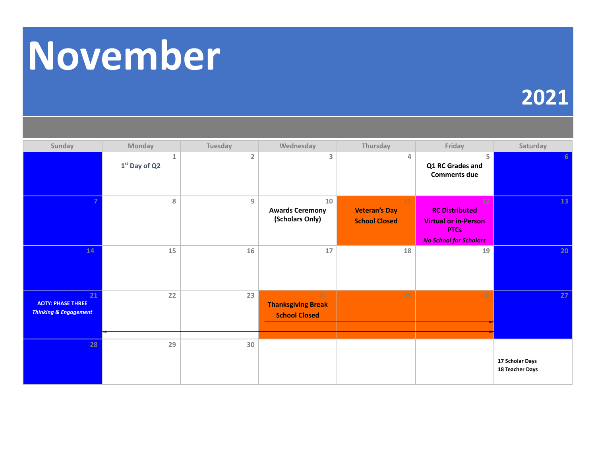# **November**

| Sunday                                                             | Monday               | Tuesday        | Wednesday                                               | Thursday                                           | Friday                                                                                                                  | Saturday                           |
|--------------------------------------------------------------------|----------------------|----------------|---------------------------------------------------------|----------------------------------------------------|-------------------------------------------------------------------------------------------------------------------------|------------------------------------|
|                                                                    | 1<br>$1st$ Day of Q2 | $\overline{2}$ | 3                                                       | 4                                                  | 5<br>Q1 RC Grades and<br><b>Comments due</b>                                                                            | 6                                  |
|                                                                    | $\, 8$               | $\overline{9}$ | 10<br><b>Awards Ceremony</b><br>(Scholars Only)         | 11<br><b>Veteran's Day</b><br><b>School Closed</b> | 12 <sub>1</sub><br><b>RC Distributed</b><br><b>Virtual or in-Person</b><br><b>PTCs</b><br><b>No School for Scholars</b> | 13                                 |
| 14                                                                 | 15                   | 16             | 17                                                      | 18                                                 | 19                                                                                                                      | 20                                 |
| 21<br><b>AOTY: PHASE THREE</b><br><b>Thinking &amp; Engagement</b> | 22                   | 23             | 24<br><b>Thanksgiving Break</b><br><b>School Closed</b> | 25                                                 | 26                                                                                                                      | 27                                 |
| 28                                                                 | 29                   | 30             |                                                         |                                                    |                                                                                                                         | 17 Scholar Days<br>18 Teacher Days |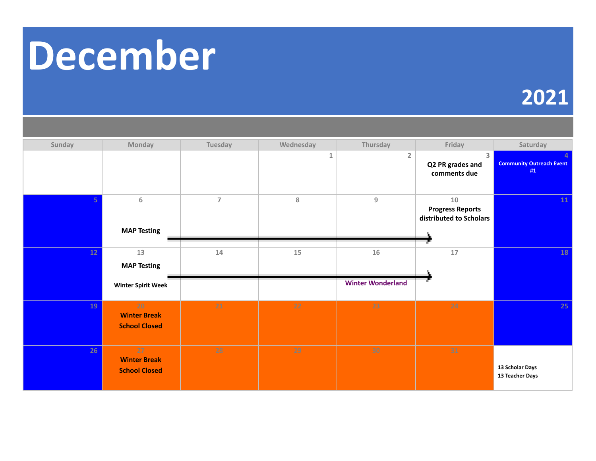# **December**

| Sunday | Monday                                            | Tuesday        | Wednesday | Thursday                 | Friday                                                   | Saturday                              |
|--------|---------------------------------------------------|----------------|-----------|--------------------------|----------------------------------------------------------|---------------------------------------|
|        |                                                   |                | 1         | $\overline{2}$           | 3<br>Q2 PR grades and<br>comments due                    | <b>Community Outreach Event</b><br>#1 |
|        | $\sqrt{6}$<br><b>MAP Testing</b>                  | $\overline{7}$ | $\bf 8$   | 9                        | 10<br><b>Progress Reports</b><br>distributed to Scholars | 11                                    |
| 12     | 13                                                | 14             | 15        | 16                       | $17$                                                     | 18                                    |
|        | <b>MAP Testing</b>                                |                |           |                          |                                                          |                                       |
|        | <b>Winter Spirit Week</b>                         |                |           | <b>Winter Wonderland</b> |                                                          |                                       |
| 19     | 20<br><b>Winter Break</b><br><b>School Closed</b> | 21             | 22        | 23                       | 24                                                       | 25                                    |
| 26     | 27<br><b>Winter Break</b><br><b>School Closed</b> | 28             | 29        | 30                       | 31                                                       | 13 Scholar Days<br>13 Teacher Days    |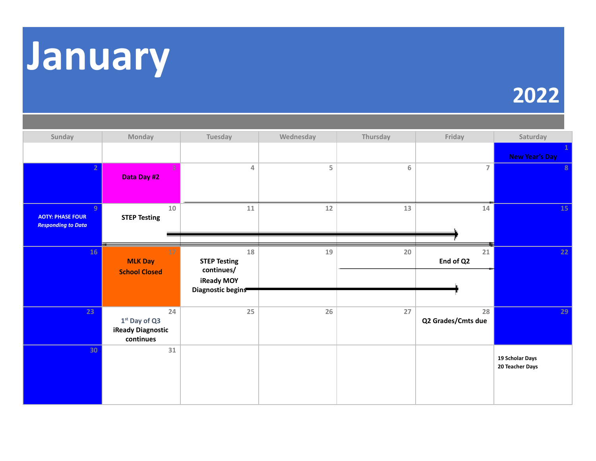

| Sunday                                                    | Monday                                                  | Tuesday                                                                    | Wednesday | Thursday | Friday                   | Saturday                           |
|-----------------------------------------------------------|---------------------------------------------------------|----------------------------------------------------------------------------|-----------|----------|--------------------------|------------------------------------|
|                                                           |                                                         |                                                                            |           |          |                          | <b>New Year's Day</b>              |
|                                                           | Data Day #2                                             | 4                                                                          | 5         | 6        | $\overline{7}$           | 8                                  |
| 9<br><b>AOTY: PHASE FOUR</b><br><b>Responding to Data</b> | $10\,$<br><b>STEP Testing</b>                           | $11\,$                                                                     | $12$      | 13       | 14                       | 15                                 |
| 16                                                        | 17<br><b>MLK Day</b><br><b>School Closed</b>            | 18<br><b>STEP Testing</b><br>continues/<br>iReady MOY<br>Diagnostic begins | 19        | 20       | $21\,$<br>End of Q2      | 22                                 |
| 23                                                        | 24<br>$1st$ Day of Q3<br>iReady Diagnostic<br>continues | 25                                                                         | 26        | 27       | 28<br>Q2 Grades/Cmts due | 29                                 |
| 30                                                        | $31\,$                                                  |                                                                            |           |          |                          | 19 Scholar Days<br>20 Teacher Days |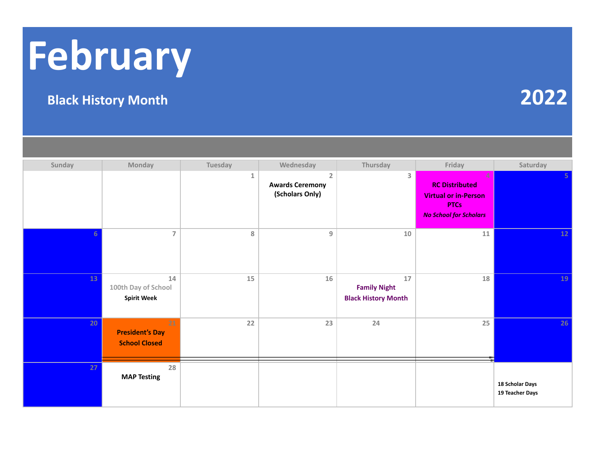# **February**

### **Black History Month 2022**

#### **Sunday Monday Tuesday Wednesday Thursday Friday Saturday 1 2 3 4 5 Awards Ceremony (Scholars Only) RC Distributed Virtual or in-Person PTCs** *No School for Scholars* **6 7 8 9 10 11 12 13 14 15 16 17 18 19 100th Day of School Spirit Week Family Night Black History Month 20 21 22 23 24 25 26 President's Day School Closed 27 28 MAP Testing 18 Scholar Days 19 Teacher Days**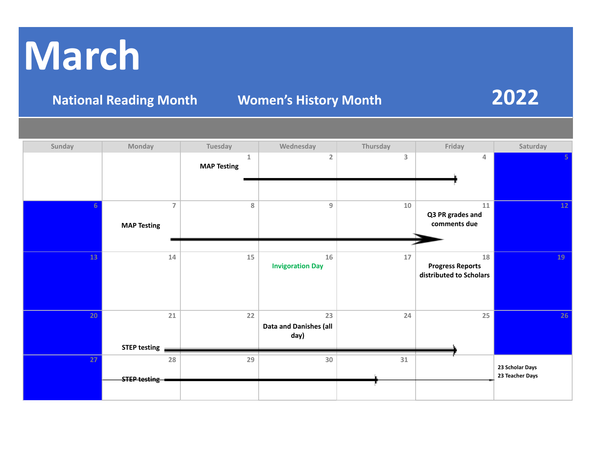# **March**

**National Reading Month Women's History Month 2022**

| Sunday | Monday                               | Tuesday                            | Wednesday                                   | Thursday | Friday                                                   | Saturday                           |
|--------|--------------------------------------|------------------------------------|---------------------------------------------|----------|----------------------------------------------------------|------------------------------------|
|        |                                      | $\mathbf{1}$<br><b>MAP Testing</b> | $\overline{2}$                              | 3        | 4                                                        | 5.                                 |
| 6      | $\overline{7}$<br><b>MAP Testing</b> | $\bf 8$                            | $\boldsymbol{9}$                            | $10\,$   | ${\bf 11}$<br>Q3 PR grades and<br>comments due           | 12                                 |
| 13     | 14                                   | 15                                 | 16<br><b>Invigoration Day</b>               | 17       | 18<br><b>Progress Reports</b><br>distributed to Scholars | 19                                 |
| 20     | 21<br><b>STEP testing</b>            | 22                                 | 23<br><b>Data and Danishes (all</b><br>day) | 24       | 25                                                       | 26                                 |
| 27     | 28<br><b>STEP testing -</b>          | 29                                 | 30                                          | $31\,$   |                                                          | 23 Scholar Days<br>23 Teacher Days |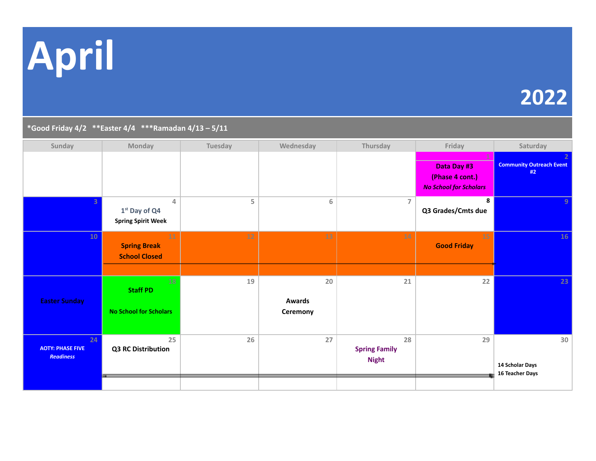**April**

## **2022**

#### **\*Good Friday 4/2 \*\*Easter 4/4 \*\*\*Ramadan 4/13 – 5/11**

| Sunday                                            | Monday                                                         | Tuesday | Wednesday                 | Thursday                                   | Friday                                                          | Saturday                                 |
|---------------------------------------------------|----------------------------------------------------------------|---------|---------------------------|--------------------------------------------|-----------------------------------------------------------------|------------------------------------------|
|                                                   |                                                                |         |                           |                                            | Data Day #3<br>(Phase 4 cont.)<br><b>No School for Scholars</b> | <b>Community Outreach Event</b><br>#2    |
|                                                   | $\overline{4}$<br>$1st$ Day of Q4<br><b>Spring Spirit Week</b> | 5       | $\,$ 6 $\,$               | $\overline{7}$                             | 8<br>Q3 Grades/Cmts due                                         | $\mathbf{q}$                             |
| <b>10</b>                                         | 11<br><b>Spring Break</b><br><b>School Closed</b>              | $12$    | 13                        | 14                                         | 15<br><b>Good Friday</b>                                        | 16                                       |
|                                                   | 18                                                             | 19      | 20                        | 21                                         | 22                                                              | 23                                       |
|                                                   | <b>Staff PD</b>                                                |         |                           |                                            |                                                                 |                                          |
| <b>Easter Sunday</b>                              | <b>No School for Scholars</b>                                  |         | <b>Awards</b><br>Ceremony |                                            |                                                                 |                                          |
| 24<br><b>AOTY: PHASE FIVE</b><br><b>Readiness</b> | 25<br>Q3 RC Distribution                                       | 26      | 27                        | 28<br><b>Spring Family</b><br><b>Night</b> | 29                                                              | 30<br>14 Scholar Days<br>16 Teacher Days |
|                                                   |                                                                |         |                           |                                            |                                                                 |                                          |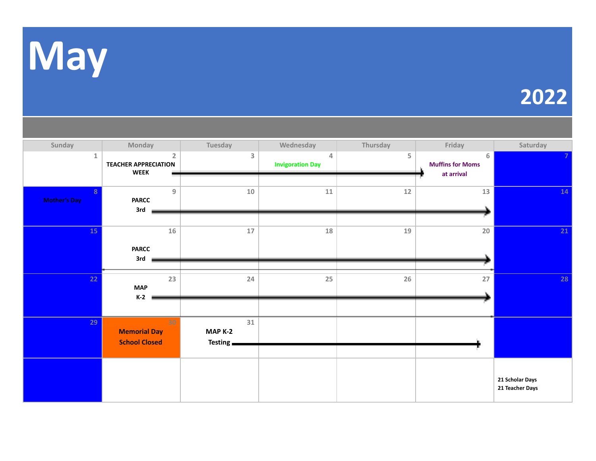

| Sunday                  | Monday                      |                  | Tuesday   | Wednesday               | Thursday | Friday                  | Saturday        |
|-------------------------|-----------------------------|------------------|-----------|-------------------------|----------|-------------------------|-----------------|
| $\mathbf{1}$            |                             | 2                | 3         | 4                       | 5        | 6                       |                 |
|                         | <b>TEACHER APPRECIATION</b> |                  |           | <b>Invigoration Day</b> |          | <b>Muffins for Moms</b> |                 |
|                         | <b>WEEK</b>                 |                  |           |                         |          | at arrival              |                 |
| $\overline{\mathbf{8}}$ |                             | $\boldsymbol{9}$ | $10\,$    | ${\bf 11}$              | 12       | 13                      | 14              |
| <b>Mother's Day</b>     | <b>PARCC</b>                |                  |           |                         |          |                         |                 |
|                         | 3rd                         |                  |           |                         |          |                         |                 |
| 15                      |                             | 16               | $17\,$    | 18                      |          | 20                      | 21              |
|                         |                             |                  |           |                         | $19\,$   |                         |                 |
|                         | <b>PARCC</b>                |                  |           |                         |          |                         |                 |
|                         | 3rd                         |                  |           |                         |          |                         |                 |
| 22                      |                             | 23               | 24        | 25                      | 26       | 27                      | 28              |
|                         | <b>MAP</b>                  |                  |           |                         |          |                         |                 |
|                         | $K-2$                       |                  |           |                         |          |                         |                 |
|                         |                             |                  |           |                         |          |                         |                 |
| 29                      |                             | 30               | 31        |                         |          |                         |                 |
|                         | <b>Memorial Day</b>         |                  | MAP K-2   |                         |          |                         |                 |
|                         | <b>School Closed</b>        |                  | Testing _ |                         |          |                         |                 |
|                         |                             |                  |           |                         |          |                         |                 |
|                         |                             |                  |           |                         |          |                         |                 |
|                         |                             |                  |           |                         |          |                         | 21 Scholar Days |
|                         |                             |                  |           |                         |          |                         | 21 Teacher Days |